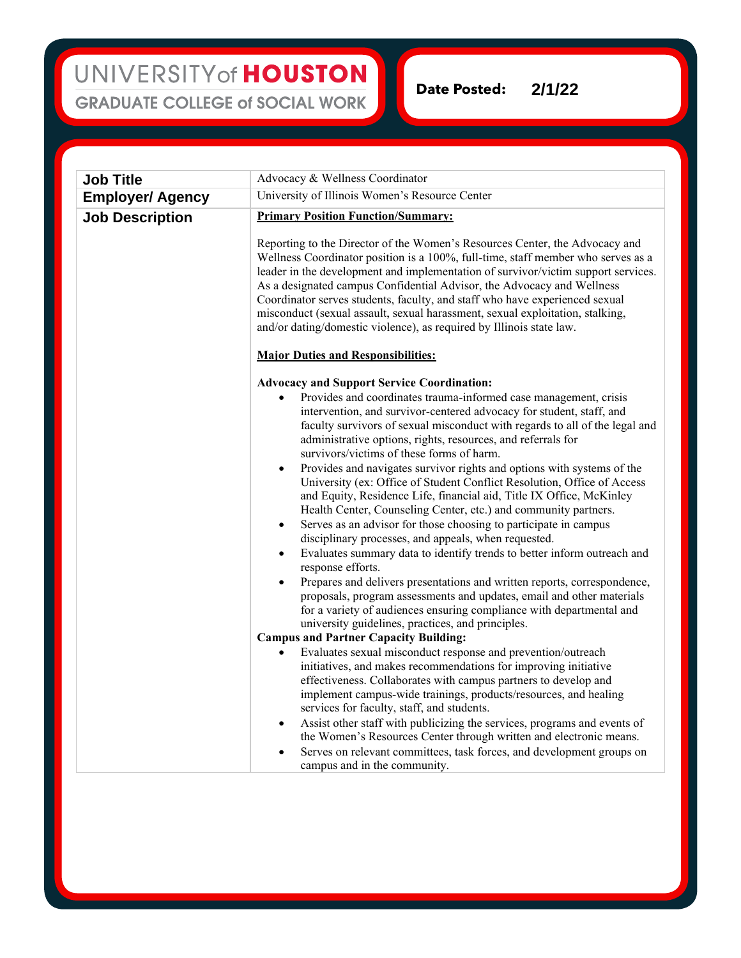**Date Posted: 2/1/22**

| <b>Job Title</b>        | Advocacy & Wellness Coordinator                                                                                                                                                                                                                                                                                                                                                                                                                                                                                                                                                                                                                                                                                                                                                                                                                                                                                                                                                                                                                                                                                                                                                                        |
|-------------------------|--------------------------------------------------------------------------------------------------------------------------------------------------------------------------------------------------------------------------------------------------------------------------------------------------------------------------------------------------------------------------------------------------------------------------------------------------------------------------------------------------------------------------------------------------------------------------------------------------------------------------------------------------------------------------------------------------------------------------------------------------------------------------------------------------------------------------------------------------------------------------------------------------------------------------------------------------------------------------------------------------------------------------------------------------------------------------------------------------------------------------------------------------------------------------------------------------------|
| <b>Employer/ Agency</b> | University of Illinois Women's Resource Center                                                                                                                                                                                                                                                                                                                                                                                                                                                                                                                                                                                                                                                                                                                                                                                                                                                                                                                                                                                                                                                                                                                                                         |
| <b>Job Description</b>  | <b>Primary Position Function/Summary:</b>                                                                                                                                                                                                                                                                                                                                                                                                                                                                                                                                                                                                                                                                                                                                                                                                                                                                                                                                                                                                                                                                                                                                                              |
|                         | Reporting to the Director of the Women's Resources Center, the Advocacy and<br>Wellness Coordinator position is a 100%, full-time, staff member who serves as a<br>leader in the development and implementation of survivor/victim support services.<br>As a designated campus Confidential Advisor, the Advocacy and Wellness<br>Coordinator serves students, faculty, and staff who have experienced sexual<br>misconduct (sexual assault, sexual harassment, sexual exploitation, stalking,<br>and/or dating/domestic violence), as required by Illinois state law.                                                                                                                                                                                                                                                                                                                                                                                                                                                                                                                                                                                                                                 |
|                         | <b>Major Duties and Responsibilities:</b>                                                                                                                                                                                                                                                                                                                                                                                                                                                                                                                                                                                                                                                                                                                                                                                                                                                                                                                                                                                                                                                                                                                                                              |
|                         | <b>Advocacy and Support Service Coordination:</b>                                                                                                                                                                                                                                                                                                                                                                                                                                                                                                                                                                                                                                                                                                                                                                                                                                                                                                                                                                                                                                                                                                                                                      |
|                         | Provides and coordinates trauma-informed case management, crisis<br>intervention, and survivor-centered advocacy for student, staff, and<br>faculty survivors of sexual misconduct with regards to all of the legal and<br>administrative options, rights, resources, and referrals for<br>survivors/victims of these forms of harm.<br>Provides and navigates survivor rights and options with systems of the<br>$\bullet$<br>University (ex: Office of Student Conflict Resolution, Office of Access<br>and Equity, Residence Life, financial aid, Title IX Office, McKinley<br>Health Center, Counseling Center, etc.) and community partners.<br>Serves as an advisor for those choosing to participate in campus<br>$\bullet$<br>disciplinary processes, and appeals, when requested.<br>Evaluates summary data to identify trends to better inform outreach and<br>$\bullet$<br>response efforts.<br>Prepares and delivers presentations and written reports, correspondence,<br>$\bullet$<br>proposals, program assessments and updates, email and other materials<br>for a variety of audiences ensuring compliance with departmental and<br>university guidelines, practices, and principles. |
|                         | <b>Campus and Partner Capacity Building:</b>                                                                                                                                                                                                                                                                                                                                                                                                                                                                                                                                                                                                                                                                                                                                                                                                                                                                                                                                                                                                                                                                                                                                                           |
|                         | Evaluates sexual misconduct response and prevention/outreach<br>$\bullet$<br>initiatives, and makes recommendations for improving initiative<br>effectiveness. Collaborates with campus partners to develop and<br>implement campus-wide trainings, products/resources, and healing<br>services for faculty, staff, and students.                                                                                                                                                                                                                                                                                                                                                                                                                                                                                                                                                                                                                                                                                                                                                                                                                                                                      |
|                         | Assist other staff with publicizing the services, programs and events of<br>٠<br>the Women's Resources Center through written and electronic means.<br>Serves on relevant committees, task forces, and development groups on<br>$\bullet$<br>campus and in the community.                                                                                                                                                                                                                                                                                                                                                                                                                                                                                                                                                                                                                                                                                                                                                                                                                                                                                                                              |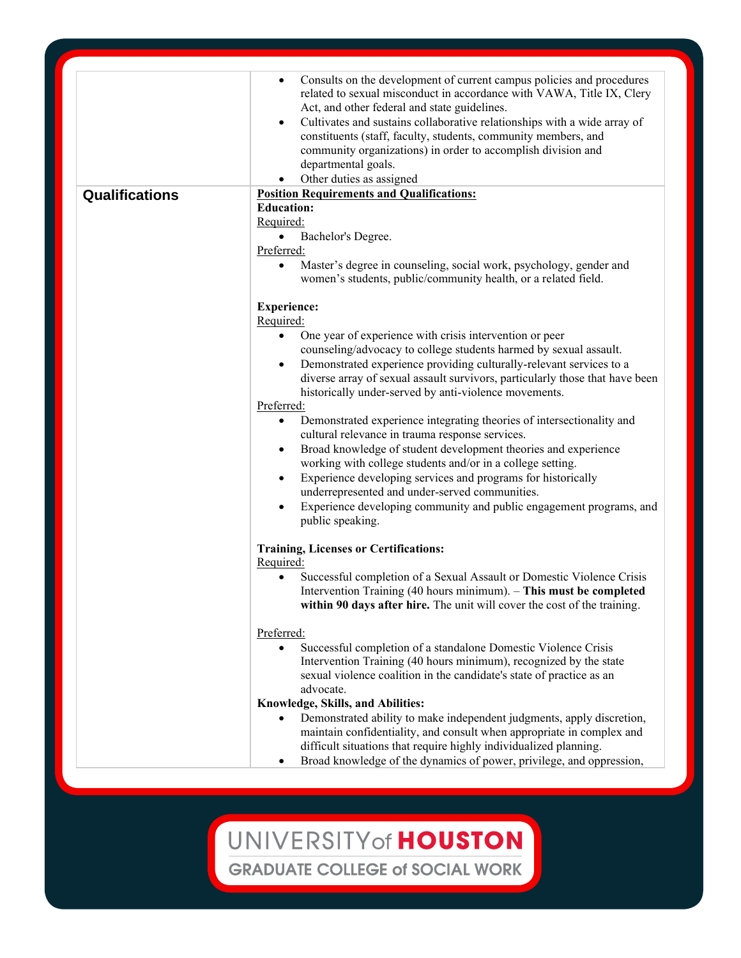|                       | Consults on the development of current campus policies and procedures<br>$\bullet$<br>related to sexual misconduct in accordance with VAWA, Title IX, Clery<br>Act, and other federal and state guidelines.<br>Cultivates and sustains collaborative relationships with a wide array of<br>$\bullet$<br>constituents (staff, faculty, students, community members, and<br>community organizations) in order to accomplish division and<br>departmental goals.<br>Other duties as assigned<br>$\bullet$ |
|-----------------------|--------------------------------------------------------------------------------------------------------------------------------------------------------------------------------------------------------------------------------------------------------------------------------------------------------------------------------------------------------------------------------------------------------------------------------------------------------------------------------------------------------|
| <b>Qualifications</b> | <b>Position Requirements and Qualifications:</b>                                                                                                                                                                                                                                                                                                                                                                                                                                                       |
|                       | <b>Education:</b>                                                                                                                                                                                                                                                                                                                                                                                                                                                                                      |
|                       | Required:                                                                                                                                                                                                                                                                                                                                                                                                                                                                                              |
|                       | Bachelor's Degree.<br>Preferred:                                                                                                                                                                                                                                                                                                                                                                                                                                                                       |
|                       | Master's degree in counseling, social work, psychology, gender and<br>$\bullet$                                                                                                                                                                                                                                                                                                                                                                                                                        |
|                       | women's students, public/community health, or a related field.                                                                                                                                                                                                                                                                                                                                                                                                                                         |
|                       | <b>Experience:</b><br>Required:                                                                                                                                                                                                                                                                                                                                                                                                                                                                        |
|                       | One year of experience with crisis intervention or peer<br>$\bullet$                                                                                                                                                                                                                                                                                                                                                                                                                                   |
|                       | counseling/advocacy to college students harmed by sexual assault.                                                                                                                                                                                                                                                                                                                                                                                                                                      |
|                       | Demonstrated experience providing culturally-relevant services to a<br>$\bullet$                                                                                                                                                                                                                                                                                                                                                                                                                       |
|                       | diverse array of sexual assault survivors, particularly those that have been                                                                                                                                                                                                                                                                                                                                                                                                                           |
|                       | historically under-served by anti-violence movements.                                                                                                                                                                                                                                                                                                                                                                                                                                                  |
|                       | Preferred:                                                                                                                                                                                                                                                                                                                                                                                                                                                                                             |
|                       | Demonstrated experience integrating theories of intersectionality and<br>$\bullet$<br>cultural relevance in trauma response services.                                                                                                                                                                                                                                                                                                                                                                  |
|                       | Broad knowledge of student development theories and experience<br>$\bullet$                                                                                                                                                                                                                                                                                                                                                                                                                            |
|                       | working with college students and/or in a college setting.                                                                                                                                                                                                                                                                                                                                                                                                                                             |
|                       | Experience developing services and programs for historically<br>$\bullet$                                                                                                                                                                                                                                                                                                                                                                                                                              |
|                       | underrepresented and under-served communities.                                                                                                                                                                                                                                                                                                                                                                                                                                                         |
|                       | Experience developing community and public engagement programs, and<br>$\bullet$<br>public speaking.                                                                                                                                                                                                                                                                                                                                                                                                   |
|                       | <b>Training, Licenses or Certifications:</b>                                                                                                                                                                                                                                                                                                                                                                                                                                                           |
|                       | Required:<br>Successful completion of a Sexual Assault or Domestic Violence Crisis<br>$\bullet$                                                                                                                                                                                                                                                                                                                                                                                                        |
|                       | Intervention Training (40 hours minimum). - This must be completed<br>within 90 days after hire. The unit will cover the cost of the training.                                                                                                                                                                                                                                                                                                                                                         |
|                       | Preferred:                                                                                                                                                                                                                                                                                                                                                                                                                                                                                             |
|                       | Successful completion of a standalone Domestic Violence Crisis<br>$\bullet$                                                                                                                                                                                                                                                                                                                                                                                                                            |
|                       | Intervention Training (40 hours minimum), recognized by the state                                                                                                                                                                                                                                                                                                                                                                                                                                      |
|                       | sexual violence coalition in the candidate's state of practice as an                                                                                                                                                                                                                                                                                                                                                                                                                                   |
|                       | advocate.                                                                                                                                                                                                                                                                                                                                                                                                                                                                                              |
|                       | Knowledge, Skills, and Abilities:                                                                                                                                                                                                                                                                                                                                                                                                                                                                      |
|                       | Demonstrated ability to make independent judgments, apply discretion,<br>$\bullet$<br>maintain confidentiality, and consult when appropriate in complex and<br>difficult situations that require highly individualized planning.                                                                                                                                                                                                                                                                       |
|                       | Broad knowledge of the dynamics of power, privilege, and oppression,<br>$\bullet$                                                                                                                                                                                                                                                                                                                                                                                                                      |

UNIVERSITY of HOUSTON **GRADUATE COLLEGE of SOCIAL WORK**